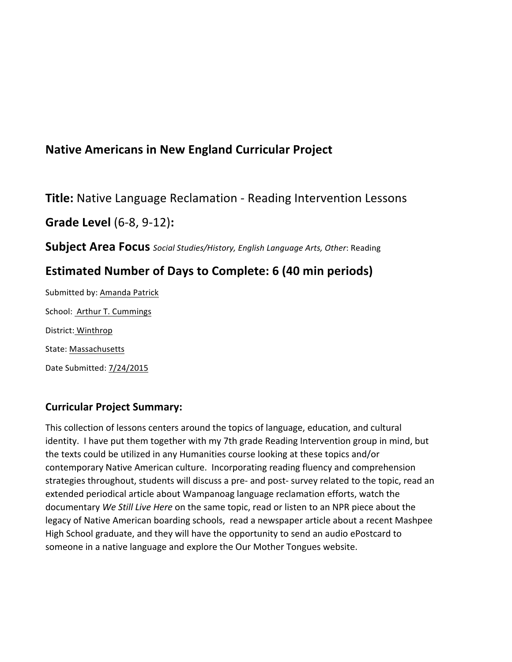# **Native Americans in New England Curricular Project**

**Title:** Native Language Reclamation - Reading Intervention Lessons

**Grade Level** (6-8, 9-12):

**Subject Area Focus** *Social Studies/History, English Language Arts, Other: Reading* 

# **Estimated Number of Days to Complete: 6 (40 min periods)**

Submitted by: Amanda Patrick School: Arthur T. Cummings District: Winthrop State: Massachusetts Date Submitted: 7/24/2015

## **Curricular Project Summary:**

This collection of lessons centers around the topics of language, education, and cultural identity. I have put them together with my 7th grade Reading Intervention group in mind, but the texts could be utilized in any Humanities course looking at these topics and/or contemporary Native American culture. Incorporating reading fluency and comprehension strategies throughout, students will discuss a pre- and post- survey related to the topic, read an extended periodical article about Wampanoag language reclamation efforts, watch the documentary *We Still Live Here* on the same topic, read or listen to an NPR piece about the legacy of Native American boarding schools, read a newspaper article about a recent Mashpee High School graduate, and they will have the opportunity to send an audio ePostcard to someone in a native language and explore the Our Mother Tongues website.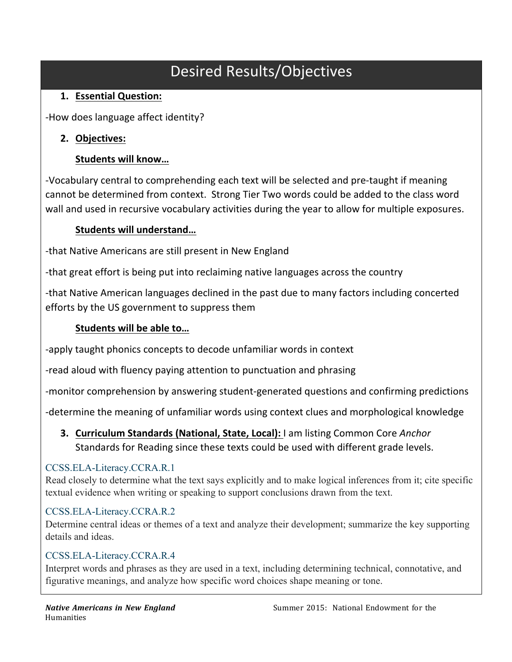# Desired Results/Objectives

# **1. Essential'Question:'**

-How does language affect identity?

# **2. Objectives:'**

# **Students'will'know…**

-Vocabulary central to comprehending each text will be selected and pre-taught if meaning cannot be determined from context. Strong Tier Two words could be added to the class word wall and used in recursive vocabulary activities during the year to allow for multiple exposures.

# **Students'will'understand…**

-that Native Americans are still present in New England

-that great effort is being put into reclaiming native languages across the country

-that Native American languages declined in the past due to many factors including concerted efforts by the US government to suppress them

## Students will be able to...

-apply taught phonics concepts to decode unfamiliar words in context

-read aloud with fluency paying attention to punctuation and phrasing

-monitor comprehension by answering student-generated questions and confirming predictions

-determine the meaning of unfamiliar words using context clues and morphological knowledge

**3. Curriculum Standards (National, State, Local):** I am listing Common Core *Anchor* Standards for Reading since these texts could be used with different grade levels.

## CCSS.ELA-Literacy.CCRA.R.1

Read closely to determine what the text says explicitly and to make logical inferences from it; cite specific textual evidence when writing or speaking to support conclusions drawn from the text.

## CCSS.ELA-Literacy.CCRA.R.2

Determine central ideas or themes of a text and analyze their development; summarize the key supporting details and ideas.

## CCSS.ELA-Literacy.CCRA.R.4

Interpret words and phrases as they are used in a text, including determining technical, connotative, and figurative meanings, and analyze how specific word choices shape meaning or tone.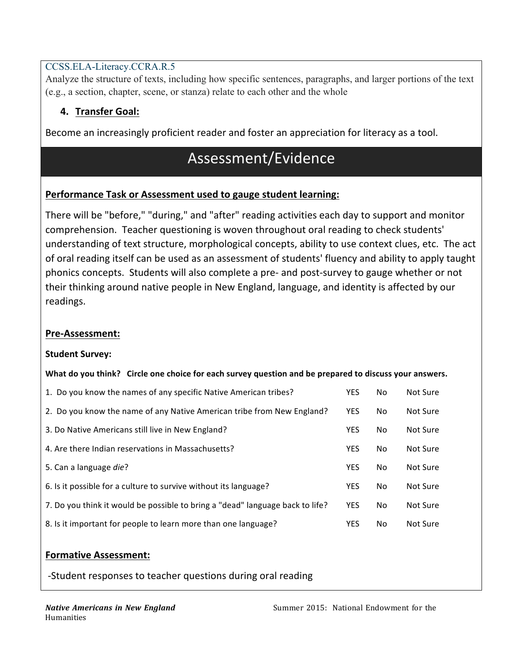## CCSS.ELA-Literacy.CCRA.R.5

Analyze the structure of texts, including how specific sentences, paragraphs, and larger portions of the text (e.g., a section, chapter, scene, or stanza) relate to each other and the whole

## **4. Transfer'Goal:'**

Become an increasingly proficient reader and foster an appreciation for literacy as a tool.

# Assessment/Evidence

### Performance Task or Assessment used to gauge student learning:

There will be "before," "during," and "after" reading activities each day to support and monitor comprehension. Teacher questioning is woven throughout oral reading to check students' understanding of text structure, morphological concepts, ability to use context clues, etc. The act of oral reading itself can be used as an assessment of students' fluency and ability to apply taught phonics concepts. Students will also complete a pre- and post-survey to gauge whether or not their thinking around native people in New England, language, and identity is affected by our readings.

### **Pre-Assessment:**

#### **Student Survey:**

#### What do you think? Circle one choice for each survey question and be prepared to discuss your answers.

| 1. Do you know the names of any specific Native American tribes?              | YES.       | No. | Not Sure |
|-------------------------------------------------------------------------------|------------|-----|----------|
| 2. Do you know the name of any Native American tribe from New England?        | <b>YES</b> | No. | Not Sure |
| 3. Do Native Americans still live in New England?                             | <b>YES</b> | No. | Not Sure |
| 4. Are there Indian reservations in Massachusetts?                            | <b>YES</b> | No  | Not Sure |
| 5. Can a language die?                                                        | <b>YES</b> | No  | Not Sure |
| 6. Is it possible for a culture to survive without its language?              | <b>YES</b> | No  | Not Sure |
| 7. Do you think it would be possible to bring a "dead" language back to life? | <b>YES</b> | No. | Not Sure |
| 8. Is it important for people to learn more than one language?                | <b>YES</b> | No. | Not Sure |

#### **Formative Assessment:**

-Student responses to teacher questions during oral reading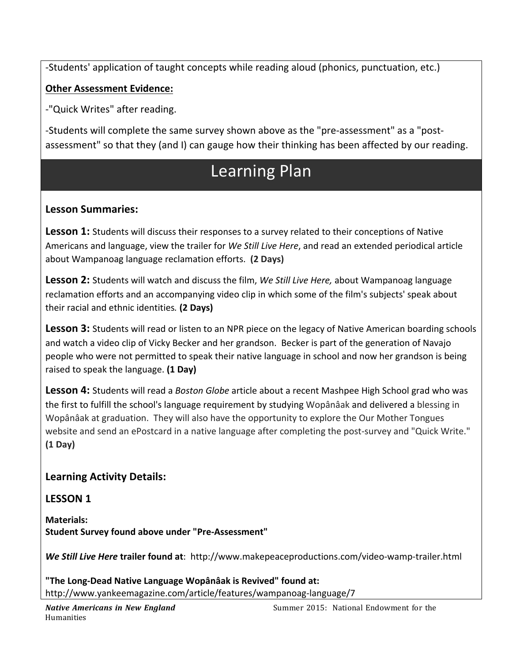-Students' application of taught concepts while reading aloud (phonics, punctuation, etc.)

## **Other Assessment Evidence:**

-"Quick Writes" after reading.

-Students will complete the same survey shown above as the "pre-assessment" as a "postassessment" so that they (and I) can gauge how their thinking has been affected by our reading.

# Learning Plan

## Lesson Summaries:

**Lesson 1:** Students will discuss their responses to a survey related to their conceptions of Native Americans and language, view the trailer for *We Still Live Here*, and read an extended periodical article about'Wampanoag'language'reclamation'efforts.''**(2'Days)**

**Lesson 2:** Students will watch and discuss the film, We Still Live Here, about Wampanoag language reclamation'efforts and an accompanying video clip in which some of the film's subjects' speak about their'racial'and'ethnic'identities*.* **(2'Days)**

**Lesson 3:** Students will read or listen to an NPR piece on the legacy of Native American boarding schools and watch a video clip of Vicky Becker and her grandson. Becker is part of the generation of Navajo people who were not permitted to speak their native language in school and now her grandson is being raised'to'speak'the'language. **(1'Day)**

Lesson 4: Students will read a *Boston Globe* article about a recent Mashpee High School grad who was the first to fulfill the school's language requirement by studying Wopânâak and delivered a blessing in Wopânâak at graduation. They will also have the opportunity to explore the Our Mother Tongues website and send an ePostcard in a native language after completing the post-survey and "Quick Write." **(1'Day)**

## Learning Activity Details:

**LESSON'1'**

**Materials: Student Survey found above under "Pre-Assessment"** 

**We Still Live Here trailer found at:** http://www.makepeaceproductions.com/video-wamp-trailer.html

"The Long-Dead Native Language Wopânâak is Revived" found at: http://www.yankeemagazine.com/article/features/wampanoag-language/7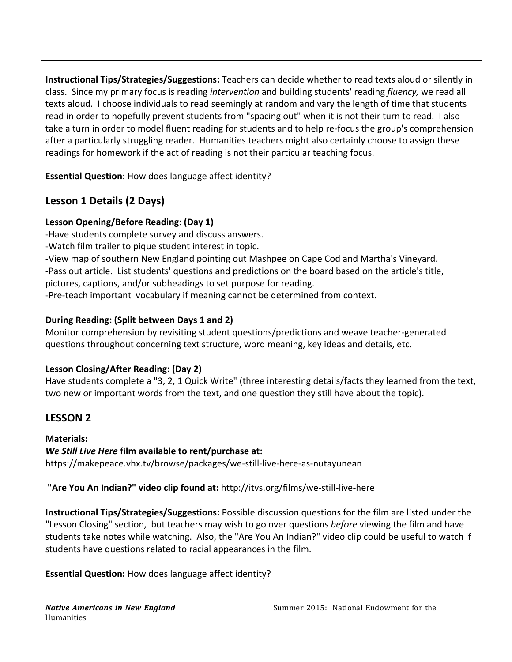**Instructional Tips/Strategies/Suggestions:** Teachers can decide whether to read texts aloud or silently in class. Since my primary focus is reading *intervention* and building students' reading *fluency*, we read all texts aloud. I choose individuals to read seemingly at random and vary the length of time that students read in order to hopefully prevent students from "spacing out" when it is not their turn to read. I also take a turn in order to model fluent reading for students and to help re-focus the group's comprehension after a particularly struggling reader. Humanities teachers might also certainly choose to assign these readings for homework if the act of reading is not their particular teaching focus.

**Essential Question:** How does language affect identity?

# **Lesson 1 Details (2 Days)**

## **Lesson'Opening/Before'Reading**: **(Day 1)**

-Have students complete survey and discuss answers. -Watch film trailer to pique student interest in topic. 1View'map'of'southern'New'England'pointing'out'Mashpee'on'Cape'Cod'and'Martha's'Vineyard. -Pass out article. List students' questions and predictions on the board based on the article's title, pictures, captions, and/or subheadings to set purpose for reading. -Pre-teach important vocabulary if meaning cannot be determined from context.

## **During'Reading: (Split'between'Days'1'and'2)**

Monitor comprehension by revisiting student questions/predictions and weave teacher-generated questions throughout concerning text structure, word meaning, key ideas and details, etc.

## Lesson Closing/After Reading: (Day 2)

Have students complete a "3, 2, 1 Quick Write" (three interesting details/facts they learned from the text, two new or important words from the text, and one question they still have about the topic).

# **LESSON'2'**

**Materials:** *We Still Live Here* film available to rent/purchase at: https://makepeace.vhx.tv/browse/packages/we-still-live-here-as-nutayunean

"Are You An Indian?" video clip found at: http://itvs.org/films/we-still-live-here

**Instructional Tips/Strategies/Suggestions:** Possible discussion questions for the film are listed under the "Lesson Closing" section, but teachers may wish to go over questions *before* viewing the film and have students take notes while watching. Also, the "Are You An Indian?" video clip could be useful to watch if students have questions related to racial appearances in the film.

**Essential Question:** How does language affect identity?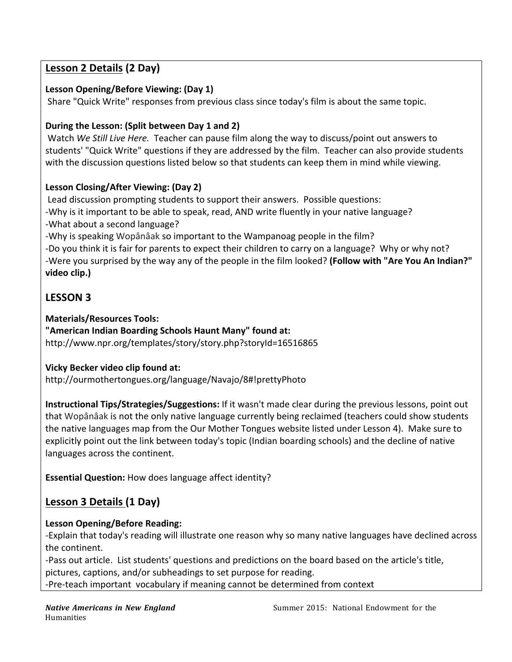## **Lesson 2 Details (2'Day)**

### **Lesson'Opening/Before'Viewing: (Day'1)**

Share "Quick Write" responses from previous class since today's film is about the same topic.

### During the Lesson: (Split between Day 1 and 2)

Watch We Still Live Here. Teacher can pause film along the way to discuss/point out answers to students' "Quick Write" questions if they are addressed by the film. Teacher can also provide students with the discussion questions listed below so that students can keep them in mind while viewing.

#### Lesson Closing/After Viewing: (Day 2)

Lead discussion prompting students to support their answers. Possible questions: -Why is it important to be able to speak, read, AND write fluently in your native language? -What about a second language?

-Why is speaking Wopânâak so important to the Wampanoag people in the film?

-Do you think it is fair for parents to expect their children to carry on a language? Why or why not? 1Were'you'surprised'by'the'way'any'of'the'people'in'the'film'looked?'**(Follow'with'"Are'You'An'Indian?"'** video clip.)

## **LESSON'3'**

#### **Materials/Resources'Tools:**

"American Indian Boarding Schools Haunt Many" found at: http://www.npr.org/templates/story/story.php?storyId=16516865

## **Vicky Becker video clip found at:**

http://ourmothertongues.org/language/Navajo/8#!prettyPhoto

Instructional Tips/Strategies/Suggestions: If it wasn't made clear during the previous lessons, point out that Wopânâak is not the only native language currently being reclaimed (teachers could show students' the native languages map from the Our Mother Tongues website listed under Lesson 4). Make sure to explicitly point out the link between today's topic (Indian boarding schools) and the decline of native languages across the continent.

**Essential Question:** How does language affect identity?

# **Lesson 3 Details (1 Day)**

## Lesson Opening/Before Reading:

1Explain'that today's'reading'will'illustrate'one'reason'why'so'many'native'languages'have'declined'across' the continent.

-Pass out article. List students' questions and predictions on the board based on the article's title, pictures, captions, and/or subheadings to set purpose for reading.

-Pre-teach important vocabulary if meaning cannot be determined from context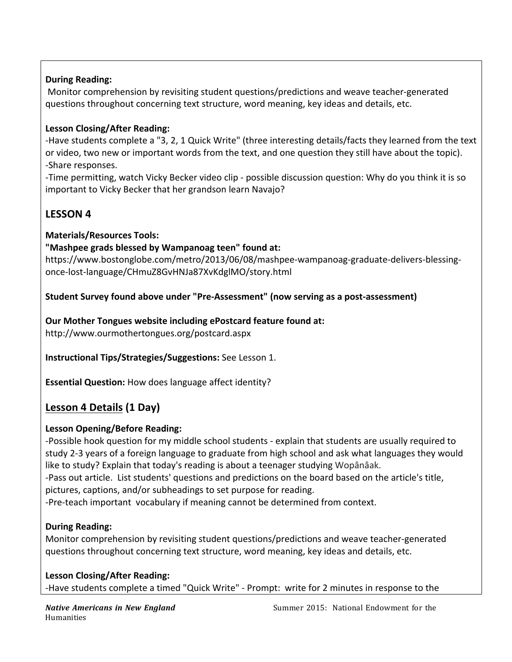### **During Reading:**

Monitor comprehension by revisiting student questions/predictions and weave teacher-generated questions throughout concerning text structure, word meaning, key ideas and details, etc.

### Lesson Closing/After Reading:

-Have students complete a "3, 2, 1 Quick Write" (three interesting details/facts they learned from the text or video, two new or important words from the text, and one question they still have about the topic). -Share responses.

-Time permitting, watch Vicky Becker video clip - possible discussion question: Why do you think it is so important to Vicky Becker that her grandson learn Navajo?

## **LESSON'4'**

### **Materials/Resources'Tools:**

### "Mashpee grads blessed by Wampanoag teen" found at:

https://www.bostonglobe.com/metro/2013/06/08/mashpee-wampanoag-graduate-delivers-blessingonce-lost-language/CHmuZ8GvHNJa87XvKdglMO/story.html

### Student Survey found above under "Pre-Assessment" (now serving as a post-assessment)

**Our'Mother'Tongues'website including'ePostcard'feature'found'at:** http://www.ourmothertongues.org/postcard.aspx

**Instructional'Tips/Strategies/Suggestions:** See Lesson'1.

**Essential Question:** How does language affect identity?

## **Lesson 4 Details (1 Day)**

#### Lesson Opening/Before Reading:

-Possible hook question for my middle school students - explain that students are usually required to study 2-3 years of a foreign language to graduate from high school and ask what languages they would like to study? Explain that today's reading is about a teenager studying Wopânâak.

-Pass out article. List students' questions and predictions on the board based on the article's title, pictures, captions, and/or subheadings to set purpose for reading.

-Pre-teach important vocabulary if meaning cannot be determined from context.

## **During Reading:**

Monitor comprehension by revisiting student questions/predictions and weave teacher-generated questions throughout concerning text structure, word meaning, key ideas and details, etc.

Lesson Closing/After Reading: -Have students complete a timed "Quick Write" - Prompt: write for 2 minutes in response to the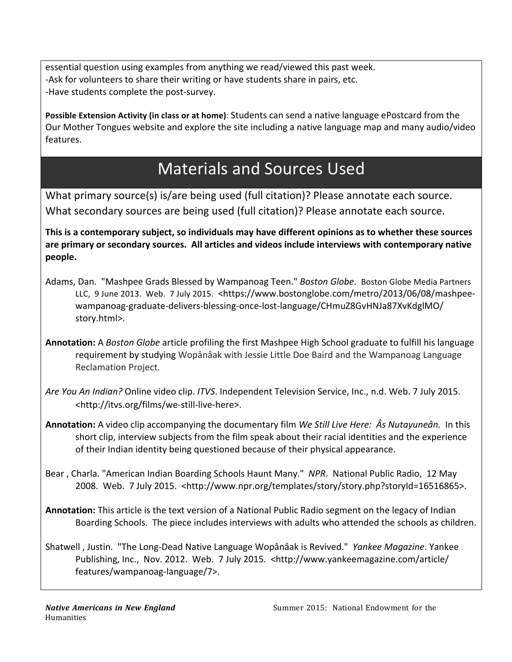essential question using examples from anything we read/viewed this past week. -Ask for volunteers to share their writing or have students share in pairs, etc. -Have students complete the post-survey.

Possible Extension Activity (in class or at home): Students can send a native language ePostcard from the Our'Mother Tongues' website and explore the site including a native language map and many audio/video' features.

# Materials and Sources Used

What primary source(s) is/are being used (full citation)? Please annotate each source. What secondary sources are being used (full citation)? Please annotate each source.

**This'is'a'contemporary'subject,'so'individuals'may have'different'opinions'as'to'whether'these'sources'** are primary or secondary sources. All articles and videos include interviews with contemporary native **people.**

- Adams, Dan.''Mashpee Grads Blessed by Wampanoag Teen.'' Boston Globe. Boston Globe Media Partners LLC, 9 June 2013. Web. 7 July 2015. <https://www.bostonglobe.com/metro/2013/06/08/mashpeewampanoag-graduate-delivers-blessing-once-lost-language/CHmuZ8GvHNJa87XvKdglMO/ story.html>.
- Annotation: A *Boston Globe* article profiling the first Mashpee High School graduate to fulfill his language requirement by studying Wopânâak with Jessie Little Doe Baird and the Wampanoag Language Reclamation Project.
- *Are You An Indian?* Online video clip. *ITVS*. Independent Television Service, Inc., n.d. Web. 7 July 2015. <http://itvs.org/films/we-still-live-here>.
- **Annotation:** A video clip accompanying the documentary film *We Still Live Here: Âs Nutayuneân.* In this short clip, interview subjects from the film speak about their racial identities and the experience of'their'Indian'identity'being'questioned'because'of'their'physical'appearance.
- Bear, Charla. "American Indian Boarding Schools Haunt Many." NPR. National Public Radio, 12 May 2008. Web. 7 July 2015. <http://www.npr.org/templates/story/story.php?storyId=16516865>.
- Annotation: This article is the text version of a National Public Radio segment on the legacy of Indian Boarding Schools. The piece includes interviews with adults who attended the schools as children.
- Shatwell, Justin. "The Long-Dead Native Language Wopânâak is Revived." Yankee Magazine. Yankee Publishing, Inc., Nov. 2012. Web. 7 July 2015. <http://www.yankeemagazine.com/article/ features/wampanoag-language/7>.